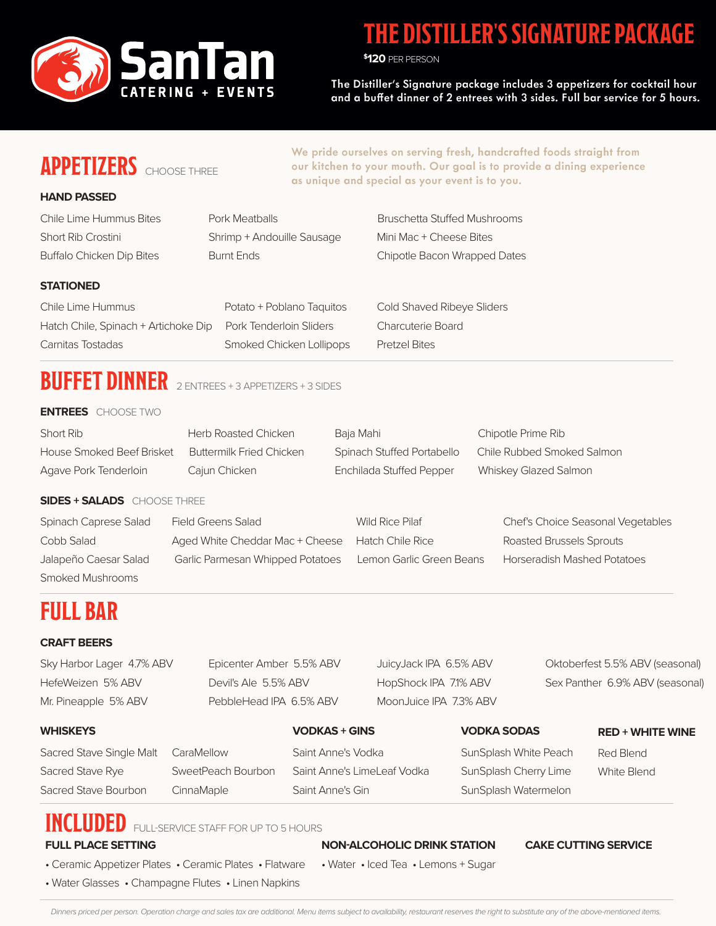

### **THE DISTILLER'S SIGNATURE PACKAGE**

**\$ 120** PER PERSON

The Distiller's Signature package includes 3 appetizers for cocktail hour and a buffet dinner of 2 entrees with 3 sides. Full bar service for 5 hours.

### **APPETIZERS** CHOOSE THREE

We pride ourselves on serving fresh, handcrafted foods straight from our kitchen to your mouth. Our goal is to provide a dining experience as unique and special as your event is to you.

#### **HAND PASSED**

Short Rib Crostini Shrimp + Andouille Sausage Mini Mac + Cheese Bites

Chile Lime Hummus Bites **Pork Meatballs** Bruschetta Stuffed Mushrooms Buffalo Chicken Dip Bites Burnt Ends Chipotle Bacon Wrapped Dates

#### **STATIONED**

Chile Lime Hummus Potato + Poblano Taquitos Cold Shaved Ribeye Sliders Hatch Chile, Spinach + Artichoke Dip Pork Tenderloin Sliders Charcuterie Board Carnitas Tostadas Smoked Chicken Lollipops Pretzel Bites

# **BUFFET DINNER** 2 ENTREES + 3 APPETIZERS + 3 SIDES

#### **ENTREES** CHOOSE TWO

| Short Rib                 | Herb Roasted Chicken            | Baja Mahi                         | Chipotle Prime Rib         |
|---------------------------|---------------------------------|-----------------------------------|----------------------------|
| House Smoked Beef Brisket | <b>Buttermilk Fried Chicken</b> | <b>Spinach Stuffed Portabello</b> | Chile Rubbed Smoked Salmon |
| Agave Pork Tenderloin     | Cajun Chicken                   | Enchilada Stuffed Pepper          | Whiskey Glazed Salmon      |

#### **SIDES + SALADS** CHOOSE THREE

| Spinach Caprese Salad | <b>Field Greens Salad</b>        | Wild Rice Pilaf          | <b>Chef's Choice Seasonal Vegetables</b> |
|-----------------------|----------------------------------|--------------------------|------------------------------------------|
| Cobb Salad            | Aged White Cheddar Mac + Cheese  | Hatch Chile Rice         | <b>Roasted Brussels Sprouts</b>          |
| Jalapeño Caesar Salad | Garlic Parmesan Whipped Potatoes | Lemon Garlic Green Beans | <b>Horseradish Mashed Potatoes</b>       |
| Smoked Mushrooms      |                                  |                          |                                          |

### **FULL BAR**

#### **CRAFT BEERS**

| Sky Harbor Lager  4.7% ABV | Epicenter Amber 5.5% ABV | JuicyJack IPA 6.5% ABV | Oktober  |
|----------------------------|--------------------------|------------------------|----------|
| HefeWeizen 5% ABV          | Devil's Ale 5.5% ABV     | HopShock IPA 7.1% ABV  | Sex Pant |
| Mr. Pineapple 5% ABV       | PebbleHead IPA 6.5% ABV  | MoonJuice IPA 7.3% ABV |          |

Sacred Stave Single Malt CaraMellow Saint Anne's Vodka SunSplash White Peach Sacred Stave Rye SweetPeach Bourbon Saint Anne's LimeLeaf Vodka SunSplash Cherry Lime Sacred Stave Bourbon CinnaMaple Saint Anne's Gin SunSplash Watermelon

fest 5.5% ABV (seasonal) ther 6.9% ABV (seasonal)

### **WHISKEYS VODKAS + GINS VODKA SODAS**

#### **RED + WHITE WINE**

Red Blend White Blend

### **INCLUDED** FULL-SERVICE STAFF FOR UP TO 5 HOURS

#### **FULL PLACE SETTING**

• Ceramic Appetizer Plates • Ceramic Plates • Flatware

• Water Glasses • Champagne Flutes • Linen Napkins

#### **NON-ALCOHOLIC DRINK STATION CAKE CUTTING SERVICE**

• Water • Iced Tea • Lemons + Sugar

Dinners priced per person. Operation charge and sales tax are additional. Menu items subject to availability, restaurant reserves the right to substitute any of the above-mentioned items.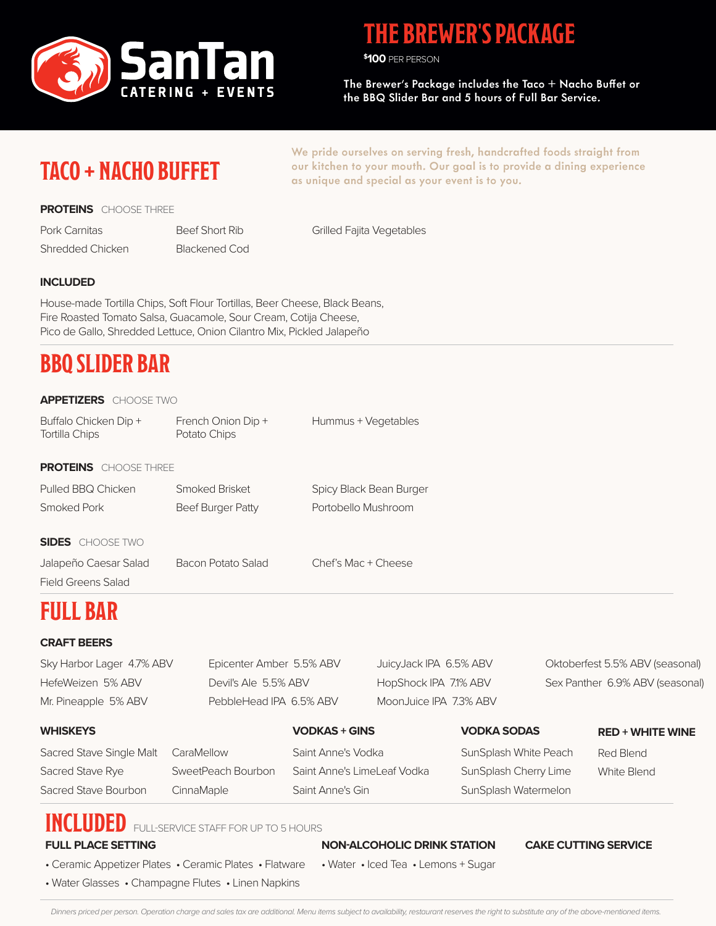

### **THE BREWER'S PACKAGE**

**\$ 100** PER PERSON

The Brewer's Package includes the Taco + Nacho Buffet or the BBQ Slider Bar and 5 hours of Full Bar Service.

### **TACO + NACHO BUFFET**

**PROTEINS** CHOOSE THREE

Pork Carnitas Shredded Chicken Beef Short Rib Blackened Cod our kitchen to your mouth. Our goal is to provide a dining experience as unique and special as your event is to you.

We pride ourselves on serving fresh, handcrafted foods straight from

Grilled Fajita Vegetables

#### **INCLUDED**

House-made Tortilla Chips, Soft Flour Tortillas, Beer Cheese, Black Beans, Fire Roasted Tomato Salsa, Guacamole, Sour Cream, Cotija Cheese, Pico de Gallo, Shredded Lettuce, Onion Cilantro Mix, Pickled Jalapeño

### **BBQ SLIDER BAR**

#### **APPETIZERS** CHOOSE TWO

| Buffalo Chicken Dip +<br><b>Tortilla Chips</b> | French Onion Dip +<br>Potato Chips | Hummus + Vegetables     |
|------------------------------------------------|------------------------------------|-------------------------|
| <b>PROTEINS</b> CHOOSE THREE                   |                                    |                         |
| Pulled BBQ Chicken                             | Smoked Brisket                     | Spicy Black Bean Burger |
| Smoked Pork                                    | Beef Burger Patty                  | Portobello Mushroom     |
|                                                |                                    |                         |
| <b>SIDES</b> CHOOSE TWO                        |                                    |                         |
| Jalapeño Caesar Salad                          | <b>Bacon Potato Salad</b>          | Chef's Mac + Cheese     |

Field Greens Salad

### **FULL BAR**

#### **CRAFT BEERS**

| Sky Harbor Lager 4.7% ABV | Epicenter Amber 5.5% ABV | JuicyJack IPA 6.5% ABV | Oktoberfest 5.5% ABV (seasonal) |
|---------------------------|--------------------------|------------------------|---------------------------------|
| HefeWeizen 5% ABV         | Devil's Ale 5.5% ABV     | HopShock IPA 7.1% ABV  | Sex Panther 6.9% ABV (seasonal) |
| Mr. Pineapple 5% ABV      | PebbleHead IPA 6.5% ABV  | MoonJuice IPA 7.3% ABV |                                 |

#### Red Blend White Blend **RED + WHITE WINE** Sacred Stave Single Malt CaraMellow Saint Anne's Vodka SunSplash White Peach Sacred Stave Rye SweetPeach Bourbon Saint Anne's LimeLeaf Vodka SunSplash Cherry Lime Sacred Stave Bourbon CinnaMaple Saint Anne's Gin SunSplash Watermelon **WHISKEYS VODKAS + GINS VODKA SODAS**

### **INCLUDED** FULL-SERVICE STAFF FOR UP TO 5 HOURS

#### **FULL PLACE SETTING**

#### **NON-ALCOHOLIC DRINK STATION CAKE CUTTING SERVICE**

- Ceramic Appetizer Plates Ceramic Plates Flatware
- Water Glasses Champagne Flutes Linen Napkins

• Water • Iced Tea • Lemons + Sugar

Dinners priced per person. Operation charge and sales tax are additional. Menu items subject to availability, restaurant reserves the right to substitute any of the above-mentioned items.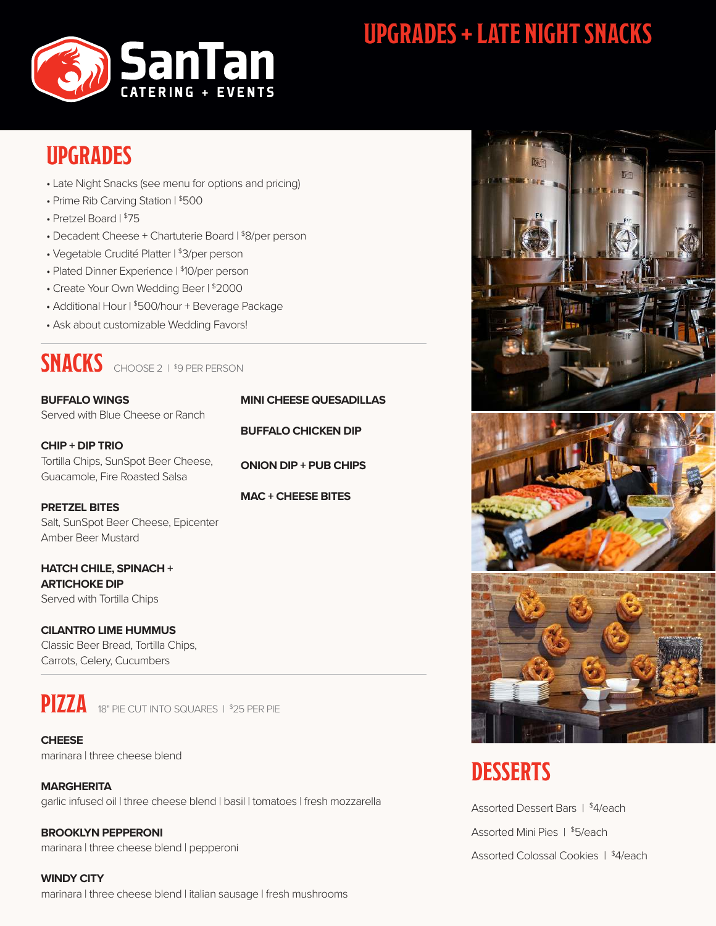

# **UPGRADES + LATE NIGHT SNACKS**

### **UPGRADES**

- Late Night Snacks (see menu for options and pricing)
- Prime Rib Carving Station | \$500
- Pretzel Board | \$75
- Decadent Cheese + Chartuterie Board | \$8/per person
- Vegetable Crudité Platter | \$3/per person
- Plated Dinner Experience | \$10/per person
- Create Your Own Wedding Beer | \$2000
- Additional Hour | \$500/hour + Beverage Package
- Ask about customizable Wedding Favors!

### **SNACKS** CHOOSE 2 | \$9 PER PERSON

**BUFFALO WINGS** Served with Blue Cheese or Ranch

**CHIP + DIP TRIO** Tortilla Chips, SunSpot Beer Cheese, Guacamole, Fire Roasted Salsa

**PRETZEL BITES** Salt, SunSpot Beer Cheese, Epicenter Amber Beer Mustard

**HATCH CHILE, SPINACH + ARTICHOKE DIP** Served with Tortilla Chips

**CILANTRO LIME HUMMUS**  Classic Beer Bread, Tortilla Chips, Carrots, Celery, Cucumbers



**PIZZA** 18" PIE CUT INTO SQUARES | \$25 PER PIE

**CHEESE** marinara | three cheese blend

**MARGHERITA** garlic infused oil | three cheese blend | basil | tomatoes | fresh mozzarella

**BROOKLYN PEPPERONI** marinara | three cheese blend | pepperoni

**WINDY CITY** marinara | three cheese blend | italian sausage | fresh mushrooms

**BUFFALO CHICKEN DIP ONION DIP + PUB CHIPS**

**MINI CHEESE QUESADILLAS**

**MAC + CHEESE BITES**







# **DESSERTS**

Assorted Dessert Bars | \$4/each Assorted Mini Pies | \$5/each Assorted Colossal Cookies | \$4/each